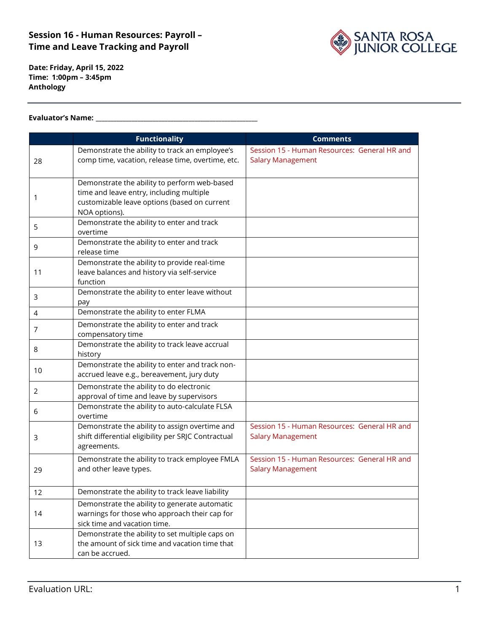

**Date: Friday, April 15, 2022 Time: 1:00pm – 3:45pm Anthology**

#### **Evaluator's Name: \_\_\_\_\_\_\_\_\_\_\_\_\_\_\_\_\_\_\_\_\_\_\_\_\_\_\_\_\_\_\_\_\_\_\_\_\_\_\_\_\_\_\_\_\_\_\_\_\_\_\_\_\_\_**

|    | <b>Functionality</b>                                                                        | <b>Comments</b>                              |
|----|---------------------------------------------------------------------------------------------|----------------------------------------------|
|    | Demonstrate the ability to track an employee's                                              | Session 15 - Human Resources: General HR and |
| 28 | comp time, vacation, release time, overtime, etc.                                           | <b>Salary Management</b>                     |
|    |                                                                                             |                                              |
|    | Demonstrate the ability to perform web-based<br>time and leave entry, including multiple    |                                              |
| 1  | customizable leave options (based on current                                                |                                              |
|    | NOA options).                                                                               |                                              |
| 5  | Demonstrate the ability to enter and track                                                  |                                              |
|    | overtime                                                                                    |                                              |
| 9  | Demonstrate the ability to enter and track<br>release time                                  |                                              |
|    | Demonstrate the ability to provide real-time                                                |                                              |
| 11 | leave balances and history via self-service                                                 |                                              |
|    | function                                                                                    |                                              |
| 3  | Demonstrate the ability to enter leave without                                              |                                              |
|    | pay<br>Demonstrate the ability to enter FLMA                                                |                                              |
| 4  | Demonstrate the ability to enter and track                                                  |                                              |
| 7  | compensatory time                                                                           |                                              |
|    | Demonstrate the ability to track leave accrual                                              |                                              |
| 8  | history                                                                                     |                                              |
| 10 | Demonstrate the ability to enter and track non-                                             |                                              |
|    | accrued leave e.g., bereavement, jury duty                                                  |                                              |
| 2  | Demonstrate the ability to do electronic                                                    |                                              |
|    | approval of time and leave by supervisors<br>Demonstrate the ability to auto-calculate FLSA |                                              |
| 6  | overtime                                                                                    |                                              |
|    | Demonstrate the ability to assign overtime and                                              | Session 15 - Human Resources: General HR and |
| 3  | shift differential eligibility per SRJC Contractual                                         | <b>Salary Management</b>                     |
|    | agreements.                                                                                 |                                              |
|    | Demonstrate the ability to track employee FMLA                                              | Session 15 - Human Resources: General HR and |
| 29 | and other leave types.                                                                      | <b>Salary Management</b>                     |
| 12 | Demonstrate the ability to track leave liability                                            |                                              |
| 14 | Demonstrate the ability to generate automatic                                               |                                              |
|    | warnings for those who approach their cap for                                               |                                              |
|    | sick time and vacation time.                                                                |                                              |
| 13 | Demonstrate the ability to set multiple caps on                                             |                                              |
|    | the amount of sick time and vacation time that<br>can be accrued.                           |                                              |
|    |                                                                                             |                                              |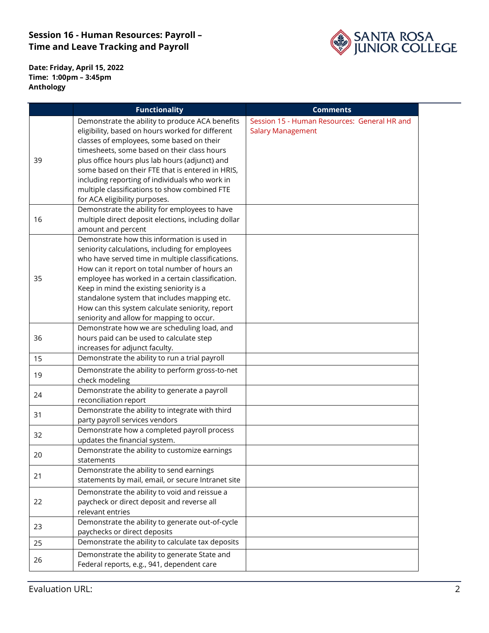

**Date: Friday, April 15, 2022 Time: 1:00pm – 3:45pm Anthology**

|    | <b>Functionality</b>                                                           | <b>Comments</b>                              |  |
|----|--------------------------------------------------------------------------------|----------------------------------------------|--|
|    | Demonstrate the ability to produce ACA benefits                                | Session 15 - Human Resources: General HR and |  |
|    | eligibility, based on hours worked for different                               | <b>Salary Management</b>                     |  |
|    | classes of employees, some based on their                                      |                                              |  |
|    | timesheets, some based on their class hours                                    |                                              |  |
| 39 | plus office hours plus lab hours (adjunct) and                                 |                                              |  |
|    | some based on their FTE that is entered in HRIS,                               |                                              |  |
|    | including reporting of individuals who work in                                 |                                              |  |
|    | multiple classifications to show combined FTE                                  |                                              |  |
|    | for ACA eligibility purposes.<br>Demonstrate the ability for employees to have |                                              |  |
| 16 | multiple direct deposit elections, including dollar                            |                                              |  |
|    | amount and percent                                                             |                                              |  |
|    | Demonstrate how this information is used in                                    |                                              |  |
|    | seniority calculations, including for employees                                |                                              |  |
|    | who have served time in multiple classifications.                              |                                              |  |
|    | How can it report on total number of hours an                                  |                                              |  |
| 35 | employee has worked in a certain classification.                               |                                              |  |
|    | Keep in mind the existing seniority is a                                       |                                              |  |
|    | standalone system that includes mapping etc.                                   |                                              |  |
|    | How can this system calculate seniority, report                                |                                              |  |
|    | seniority and allow for mapping to occur.                                      |                                              |  |
|    | Demonstrate how we are scheduling load, and                                    |                                              |  |
| 36 | hours paid can be used to calculate step                                       |                                              |  |
|    | increases for adjunct faculty.                                                 |                                              |  |
| 15 | Demonstrate the ability to run a trial payroll                                 |                                              |  |
| 19 | Demonstrate the ability to perform gross-to-net                                |                                              |  |
|    | check modeling                                                                 |                                              |  |
| 24 | Demonstrate the ability to generate a payroll                                  |                                              |  |
|    | reconciliation report                                                          |                                              |  |
| 31 | Demonstrate the ability to integrate with third                                |                                              |  |
|    | party payroll services vendors                                                 |                                              |  |
| 32 | Demonstrate how a completed payroll process                                    |                                              |  |
|    | updates the financial system.<br>Demonstrate the ability to customize earnings |                                              |  |
| 20 | statements                                                                     |                                              |  |
|    | Demonstrate the ability to send earnings                                       |                                              |  |
| 21 | statements by mail, email, or secure Intranet site                             |                                              |  |
| 22 | Demonstrate the ability to void and reissue a                                  |                                              |  |
|    | paycheck or direct deposit and reverse all                                     |                                              |  |
|    | relevant entries                                                               |                                              |  |
| 23 | Demonstrate the ability to generate out-of-cycle                               |                                              |  |
|    | paychecks or direct deposits                                                   |                                              |  |
| 25 | Demonstrate the ability to calculate tax deposits                              |                                              |  |
|    | Demonstrate the ability to generate State and                                  |                                              |  |
| 26 | Federal reports, e.g., 941, dependent care                                     |                                              |  |
|    |                                                                                |                                              |  |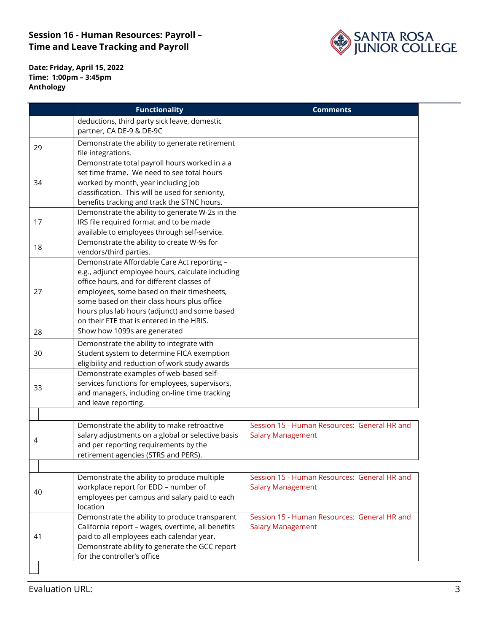

**Date: Friday, April 15, 2022 Time: 1:00pm – 3:45pm Anthology**

| deductions, third party sick leave, domestic<br>partner, CA DE-9 & DE-9C<br>Demonstrate the ability to generate retirement<br>29<br>file integrations.<br>Demonstrate total payroll hours worked in a a<br>set time frame. We need to see total hours<br>worked by month, year including job<br>34<br>classification. This will be used for seniority,<br>benefits tracking and track the STNC hours.<br>Demonstrate the ability to generate W-2s in the<br>IRS file required format and to be made<br>17<br>available to employees through self-service.<br>Demonstrate the ability to create W-9s for<br>18<br>vendors/third parties.<br>Demonstrate Affordable Care Act reporting -<br>e.g., adjunct employee hours, calculate including<br>office hours, and for different classes of<br>employees, some based on their timesheets,<br>27 |  |
|-----------------------------------------------------------------------------------------------------------------------------------------------------------------------------------------------------------------------------------------------------------------------------------------------------------------------------------------------------------------------------------------------------------------------------------------------------------------------------------------------------------------------------------------------------------------------------------------------------------------------------------------------------------------------------------------------------------------------------------------------------------------------------------------------------------------------------------------------|--|
|                                                                                                                                                                                                                                                                                                                                                                                                                                                                                                                                                                                                                                                                                                                                                                                                                                               |  |
|                                                                                                                                                                                                                                                                                                                                                                                                                                                                                                                                                                                                                                                                                                                                                                                                                                               |  |
|                                                                                                                                                                                                                                                                                                                                                                                                                                                                                                                                                                                                                                                                                                                                                                                                                                               |  |
|                                                                                                                                                                                                                                                                                                                                                                                                                                                                                                                                                                                                                                                                                                                                                                                                                                               |  |
|                                                                                                                                                                                                                                                                                                                                                                                                                                                                                                                                                                                                                                                                                                                                                                                                                                               |  |
|                                                                                                                                                                                                                                                                                                                                                                                                                                                                                                                                                                                                                                                                                                                                                                                                                                               |  |
|                                                                                                                                                                                                                                                                                                                                                                                                                                                                                                                                                                                                                                                                                                                                                                                                                                               |  |
|                                                                                                                                                                                                                                                                                                                                                                                                                                                                                                                                                                                                                                                                                                                                                                                                                                               |  |
|                                                                                                                                                                                                                                                                                                                                                                                                                                                                                                                                                                                                                                                                                                                                                                                                                                               |  |
|                                                                                                                                                                                                                                                                                                                                                                                                                                                                                                                                                                                                                                                                                                                                                                                                                                               |  |
|                                                                                                                                                                                                                                                                                                                                                                                                                                                                                                                                                                                                                                                                                                                                                                                                                                               |  |
|                                                                                                                                                                                                                                                                                                                                                                                                                                                                                                                                                                                                                                                                                                                                                                                                                                               |  |
|                                                                                                                                                                                                                                                                                                                                                                                                                                                                                                                                                                                                                                                                                                                                                                                                                                               |  |
|                                                                                                                                                                                                                                                                                                                                                                                                                                                                                                                                                                                                                                                                                                                                                                                                                                               |  |
|                                                                                                                                                                                                                                                                                                                                                                                                                                                                                                                                                                                                                                                                                                                                                                                                                                               |  |
|                                                                                                                                                                                                                                                                                                                                                                                                                                                                                                                                                                                                                                                                                                                                                                                                                                               |  |
|                                                                                                                                                                                                                                                                                                                                                                                                                                                                                                                                                                                                                                                                                                                                                                                                                                               |  |
|                                                                                                                                                                                                                                                                                                                                                                                                                                                                                                                                                                                                                                                                                                                                                                                                                                               |  |
| some based on their class hours plus office<br>hours plus lab hours (adjunct) and some based                                                                                                                                                                                                                                                                                                                                                                                                                                                                                                                                                                                                                                                                                                                                                  |  |
| on their FTE that is entered in the HRIS.                                                                                                                                                                                                                                                                                                                                                                                                                                                                                                                                                                                                                                                                                                                                                                                                     |  |
| Show how 1099s are generated                                                                                                                                                                                                                                                                                                                                                                                                                                                                                                                                                                                                                                                                                                                                                                                                                  |  |
| 28                                                                                                                                                                                                                                                                                                                                                                                                                                                                                                                                                                                                                                                                                                                                                                                                                                            |  |
| Demonstrate the ability to integrate with                                                                                                                                                                                                                                                                                                                                                                                                                                                                                                                                                                                                                                                                                                                                                                                                     |  |
| Student system to determine FICA exemption<br>30                                                                                                                                                                                                                                                                                                                                                                                                                                                                                                                                                                                                                                                                                                                                                                                              |  |
| eligibility and reduction of work study awards                                                                                                                                                                                                                                                                                                                                                                                                                                                                                                                                                                                                                                                                                                                                                                                                |  |
| Demonstrate examples of web-based self-                                                                                                                                                                                                                                                                                                                                                                                                                                                                                                                                                                                                                                                                                                                                                                                                       |  |
| services functions for employees, supervisors,<br>33                                                                                                                                                                                                                                                                                                                                                                                                                                                                                                                                                                                                                                                                                                                                                                                          |  |
| and managers, including on-line time tracking<br>and leave reporting.                                                                                                                                                                                                                                                                                                                                                                                                                                                                                                                                                                                                                                                                                                                                                                         |  |
|                                                                                                                                                                                                                                                                                                                                                                                                                                                                                                                                                                                                                                                                                                                                                                                                                                               |  |
| Session 15 - Human Resources: General HR and                                                                                                                                                                                                                                                                                                                                                                                                                                                                                                                                                                                                                                                                                                                                                                                                  |  |
| Demonstrate the ability to make retroactive                                                                                                                                                                                                                                                                                                                                                                                                                                                                                                                                                                                                                                                                                                                                                                                                   |  |
| salary adjustments on a global or selective basis<br><b>Salary Management</b><br>4<br>and per reporting requirements by the                                                                                                                                                                                                                                                                                                                                                                                                                                                                                                                                                                                                                                                                                                                   |  |
| retirement agencies (STRS and PERS).                                                                                                                                                                                                                                                                                                                                                                                                                                                                                                                                                                                                                                                                                                                                                                                                          |  |
|                                                                                                                                                                                                                                                                                                                                                                                                                                                                                                                                                                                                                                                                                                                                                                                                                                               |  |
| Demonstrate the ability to produce multiple<br>Session 15 - Human Resources: General HR and                                                                                                                                                                                                                                                                                                                                                                                                                                                                                                                                                                                                                                                                                                                                                   |  |
| workplace report for EDD - number of<br><b>Salary Management</b>                                                                                                                                                                                                                                                                                                                                                                                                                                                                                                                                                                                                                                                                                                                                                                              |  |
| 40<br>employees per campus and salary paid to each                                                                                                                                                                                                                                                                                                                                                                                                                                                                                                                                                                                                                                                                                                                                                                                            |  |
| location                                                                                                                                                                                                                                                                                                                                                                                                                                                                                                                                                                                                                                                                                                                                                                                                                                      |  |
| Demonstrate the ability to produce transparent<br>Session 15 - Human Resources: General HR and                                                                                                                                                                                                                                                                                                                                                                                                                                                                                                                                                                                                                                                                                                                                                |  |
| California report - wages, overtime, all benefits<br><b>Salary Management</b>                                                                                                                                                                                                                                                                                                                                                                                                                                                                                                                                                                                                                                                                                                                                                                 |  |
| paid to all employees each calendar year.<br>41                                                                                                                                                                                                                                                                                                                                                                                                                                                                                                                                                                                                                                                                                                                                                                                               |  |
| Demonstrate ability to generate the GCC report                                                                                                                                                                                                                                                                                                                                                                                                                                                                                                                                                                                                                                                                                                                                                                                                |  |
| for the controller's office                                                                                                                                                                                                                                                                                                                                                                                                                                                                                                                                                                                                                                                                                                                                                                                                                   |  |
|                                                                                                                                                                                                                                                                                                                                                                                                                                                                                                                                                                                                                                                                                                                                                                                                                                               |  |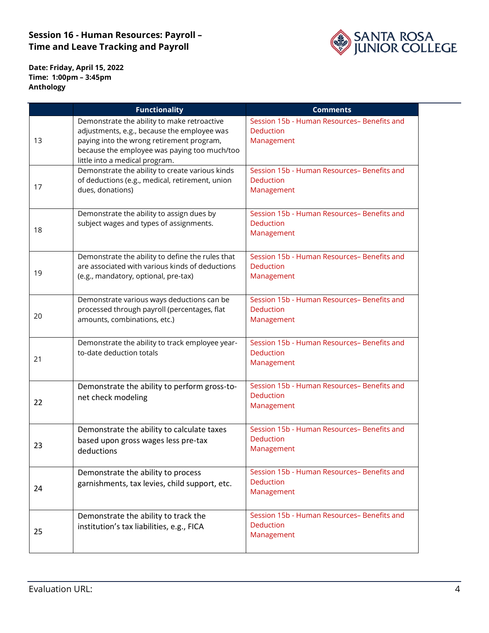

**Date: Friday, April 15, 2022 Time: 1:00pm – 3:45pm Anthology**

|    | <b>Functionality</b>                                                                                                                                                                                                      | <b>Comments</b>                                                               |
|----|---------------------------------------------------------------------------------------------------------------------------------------------------------------------------------------------------------------------------|-------------------------------------------------------------------------------|
| 13 | Demonstrate the ability to make retroactive<br>adjustments, e.g., because the employee was<br>paying into the wrong retirement program,<br>because the employee was paying too much/too<br>little into a medical program. | Session 15b - Human Resources- Benefits and<br><b>Deduction</b><br>Management |
| 17 | Demonstrate the ability to create various kinds<br>of deductions (e.g., medical, retirement, union<br>dues, donations)                                                                                                    | Session 15b - Human Resources- Benefits and<br><b>Deduction</b><br>Management |
| 18 | Demonstrate the ability to assign dues by<br>subject wages and types of assignments.                                                                                                                                      | Session 15b - Human Resources- Benefits and<br><b>Deduction</b><br>Management |
| 19 | Demonstrate the ability to define the rules that<br>are associated with various kinds of deductions<br>(e.g., mandatory, optional, pre-tax)                                                                               | Session 15b - Human Resources- Benefits and<br><b>Deduction</b><br>Management |
| 20 | Demonstrate various ways deductions can be<br>processed through payroll (percentages, flat<br>amounts, combinations, etc.)                                                                                                | Session 15b - Human Resources- Benefits and<br><b>Deduction</b><br>Management |
| 21 | Demonstrate the ability to track employee year-<br>to-date deduction totals                                                                                                                                               | Session 15b - Human Resources- Benefits and<br><b>Deduction</b><br>Management |
| 22 | Demonstrate the ability to perform gross-to-<br>net check modeling                                                                                                                                                        | Session 15b - Human Resources- Benefits and<br><b>Deduction</b><br>Management |
| 23 | Demonstrate the ability to calculate taxes<br>based upon gross wages less pre-tax<br>deductions                                                                                                                           | Session 15b - Human Resources- Benefits and<br><b>Deduction</b><br>Management |
| 24 | Demonstrate the ability to process<br>garnishments, tax levies, child support, etc.                                                                                                                                       | Session 15b - Human Resources- Benefits and<br><b>Deduction</b><br>Management |
| 25 | Demonstrate the ability to track the<br>institution's tax liabilities, e.g., FICA                                                                                                                                         | Session 15b - Human Resources- Benefits and<br><b>Deduction</b><br>Management |